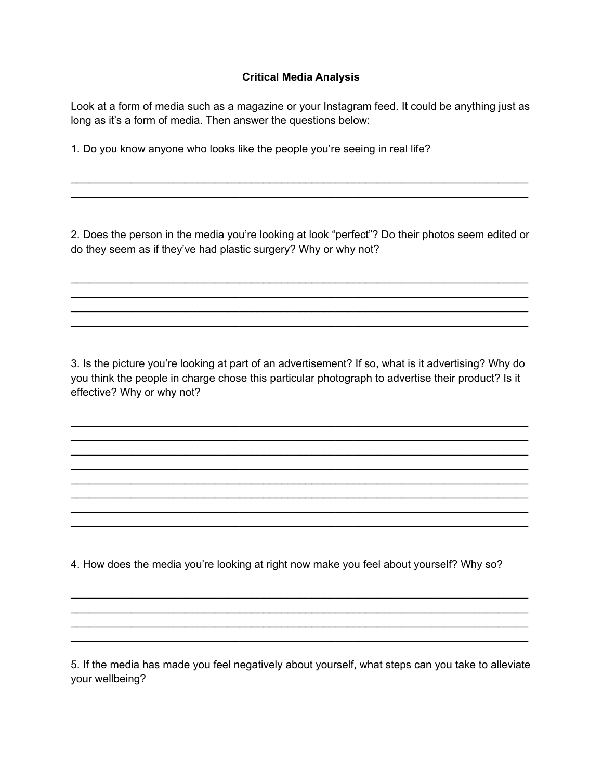## **Critical Media Analysis**

Look at a form of media such as a magazine or your Instagram feed. It could be anything just as long as it's a form of media. Then answer the questions below:

1. Do you know anyone who looks like the people you're seeing in real life?

2. Does the person in the media you're looking at look "perfect"? Do their photos seem edited or do they seem as if they've had plastic surgery? Why or why not?

\_\_\_\_\_\_\_\_\_\_\_\_\_\_\_\_\_\_\_\_\_\_\_\_\_\_\_\_\_\_\_\_\_\_\_\_\_\_\_\_\_\_\_\_\_\_\_\_\_\_\_\_\_\_\_\_\_\_\_\_\_\_\_\_\_\_\_\_\_\_\_\_\_\_\_\_ \_\_\_\_\_\_\_\_\_\_\_\_\_\_\_\_\_\_\_\_\_\_\_\_\_\_\_\_\_\_\_\_\_\_\_\_\_\_\_\_\_\_\_\_\_\_\_\_\_\_\_\_\_\_\_\_\_\_\_\_\_\_\_\_\_\_\_\_\_\_\_\_\_\_\_\_

\_\_\_\_\_\_\_\_\_\_\_\_\_\_\_\_\_\_\_\_\_\_\_\_\_\_\_\_\_\_\_\_\_\_\_\_\_\_\_\_\_\_\_\_\_\_\_\_\_\_\_\_\_\_\_\_\_\_\_\_\_\_\_\_\_\_\_\_\_\_\_\_\_\_\_\_

 $\mathcal{L}_\mathcal{L} = \{ \mathcal{L}_\mathcal{L} = \{ \mathcal{L}_\mathcal{L} = \{ \mathcal{L}_\mathcal{L} = \{ \mathcal{L}_\mathcal{L} = \{ \mathcal{L}_\mathcal{L} = \{ \mathcal{L}_\mathcal{L} = \{ \mathcal{L}_\mathcal{L} = \{ \mathcal{L}_\mathcal{L} = \{ \mathcal{L}_\mathcal{L} = \{ \mathcal{L}_\mathcal{L} = \{ \mathcal{L}_\mathcal{L} = \{ \mathcal{L}_\mathcal{L} = \{ \mathcal{L}_\mathcal{L} = \{ \mathcal{L}_\mathcal{$ 

\_\_\_\_\_\_\_\_\_\_\_\_\_\_\_\_\_\_\_\_\_\_\_\_\_\_\_\_\_\_\_\_\_\_\_\_\_\_\_\_\_\_\_\_\_\_\_\_\_\_\_\_\_\_\_\_\_\_\_\_\_\_\_\_\_\_\_\_\_\_\_\_\_\_\_\_ \_\_\_\_\_\_\_\_\_\_\_\_\_\_\_\_\_\_\_\_\_\_\_\_\_\_\_\_\_\_\_\_\_\_\_\_\_\_\_\_\_\_\_\_\_\_\_\_\_\_\_\_\_\_\_\_\_\_\_\_\_\_\_\_\_\_\_\_\_\_\_\_\_\_\_\_

3. Is the picture you're looking at part of an advertisement? If so, what is it advertising? Why do you think the people in charge chose this particular photograph to advertise their product? Is it effective? Why or why not?

\_\_\_\_\_\_\_\_\_\_\_\_\_\_\_\_\_\_\_\_\_\_\_\_\_\_\_\_\_\_\_\_\_\_\_\_\_\_\_\_\_\_\_\_\_\_\_\_\_\_\_\_\_\_\_\_\_\_\_\_\_\_\_\_\_\_\_\_\_\_\_\_\_\_\_\_ \_\_\_\_\_\_\_\_\_\_\_\_\_\_\_\_\_\_\_\_\_\_\_\_\_\_\_\_\_\_\_\_\_\_\_\_\_\_\_\_\_\_\_\_\_\_\_\_\_\_\_\_\_\_\_\_\_\_\_\_\_\_\_\_\_\_\_\_\_\_\_\_\_\_\_\_ \_\_\_\_\_\_\_\_\_\_\_\_\_\_\_\_\_\_\_\_\_\_\_\_\_\_\_\_\_\_\_\_\_\_\_\_\_\_\_\_\_\_\_\_\_\_\_\_\_\_\_\_\_\_\_\_\_\_\_\_\_\_\_\_\_\_\_\_\_\_\_\_\_\_\_\_ \_\_\_\_\_\_\_\_\_\_\_\_\_\_\_\_\_\_\_\_\_\_\_\_\_\_\_\_\_\_\_\_\_\_\_\_\_\_\_\_\_\_\_\_\_\_\_\_\_\_\_\_\_\_\_\_\_\_\_\_\_\_\_\_\_\_\_\_\_\_\_\_\_\_\_\_ \_\_\_\_\_\_\_\_\_\_\_\_\_\_\_\_\_\_\_\_\_\_\_\_\_\_\_\_\_\_\_\_\_\_\_\_\_\_\_\_\_\_\_\_\_\_\_\_\_\_\_\_\_\_\_\_\_\_\_\_\_\_\_\_\_\_\_\_\_\_\_\_\_\_\_\_ \_\_\_\_\_\_\_\_\_\_\_\_\_\_\_\_\_\_\_\_\_\_\_\_\_\_\_\_\_\_\_\_\_\_\_\_\_\_\_\_\_\_\_\_\_\_\_\_\_\_\_\_\_\_\_\_\_\_\_\_\_\_\_\_\_\_\_\_\_\_\_\_\_\_\_\_ \_\_\_\_\_\_\_\_\_\_\_\_\_\_\_\_\_\_\_\_\_\_\_\_\_\_\_\_\_\_\_\_\_\_\_\_\_\_\_\_\_\_\_\_\_\_\_\_\_\_\_\_\_\_\_\_\_\_\_\_\_\_\_\_\_\_\_\_\_\_\_\_\_\_\_\_ \_\_\_\_\_\_\_\_\_\_\_\_\_\_\_\_\_\_\_\_\_\_\_\_\_\_\_\_\_\_\_\_\_\_\_\_\_\_\_\_\_\_\_\_\_\_\_\_\_\_\_\_\_\_\_\_\_\_\_\_\_\_\_\_\_\_\_\_\_\_\_\_\_\_\_\_

4. How does the media you're looking at right now make you feel about yourself? Why so?

5. If the media has made you feel negatively about yourself, what steps can you take to alleviate your wellbeing?

\_\_\_\_\_\_\_\_\_\_\_\_\_\_\_\_\_\_\_\_\_\_\_\_\_\_\_\_\_\_\_\_\_\_\_\_\_\_\_\_\_\_\_\_\_\_\_\_\_\_\_\_\_\_\_\_\_\_\_\_\_\_\_\_\_\_\_\_\_\_\_\_\_\_\_\_ \_\_\_\_\_\_\_\_\_\_\_\_\_\_\_\_\_\_\_\_\_\_\_\_\_\_\_\_\_\_\_\_\_\_\_\_\_\_\_\_\_\_\_\_\_\_\_\_\_\_\_\_\_\_\_\_\_\_\_\_\_\_\_\_\_\_\_\_\_\_\_\_\_\_\_\_ \_\_\_\_\_\_\_\_\_\_\_\_\_\_\_\_\_\_\_\_\_\_\_\_\_\_\_\_\_\_\_\_\_\_\_\_\_\_\_\_\_\_\_\_\_\_\_\_\_\_\_\_\_\_\_\_\_\_\_\_\_\_\_\_\_\_\_\_\_\_\_\_\_\_\_\_ \_\_\_\_\_\_\_\_\_\_\_\_\_\_\_\_\_\_\_\_\_\_\_\_\_\_\_\_\_\_\_\_\_\_\_\_\_\_\_\_\_\_\_\_\_\_\_\_\_\_\_\_\_\_\_\_\_\_\_\_\_\_\_\_\_\_\_\_\_\_\_\_\_\_\_\_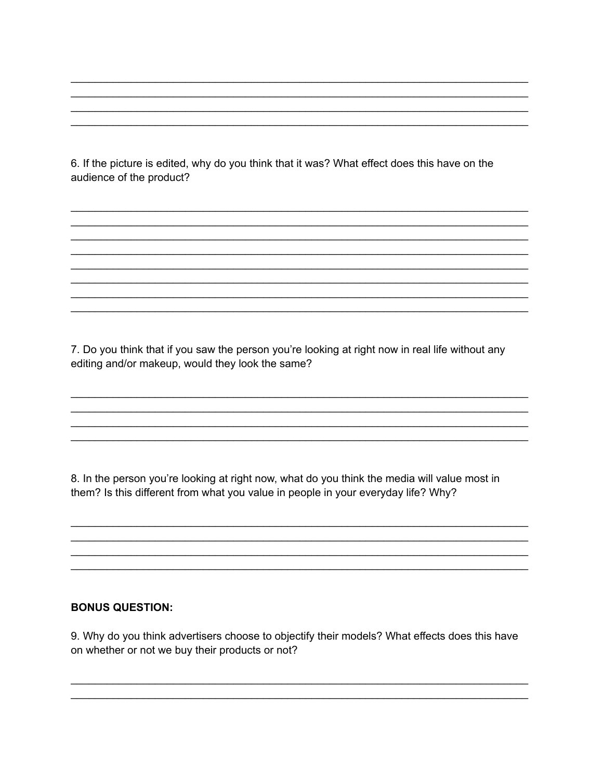6. If the picture is edited, why do you think that it was? What effect does this have on the audience of the product?

7. Do you think that if you saw the person you're looking at right now in real life without any editing and/or makeup, would they look the same?

8. In the person you're looking at right now, what do you think the media will value most in them? Is this different from what you value in people in your everyday life? Why?

## **BONUS QUESTION:**

9. Why do you think advertisers choose to objectify their models? What effects does this have on whether or not we buy their products or not?